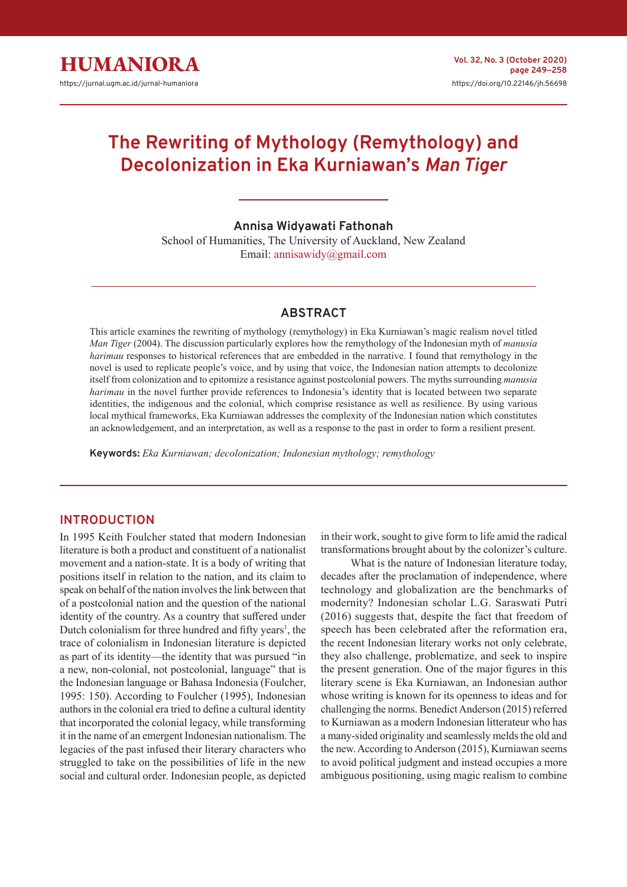

# **The Rewriting of Mythology (Remythology) and Decolonization in Eka Kurniawan's** *Man Tiger*

#### **Annisa Widyawati Fathonah**

School of Humanities, The University of Auckland, New Zealand Email: annisawidy@gmail.com

## **ABSTRACT**

This article examines the rewriting of mythology (remythology) in Eka Kurniawan's magic realism novel titled *Man Tiger* (2004). The discussion particularly explores how the remythology of the Indonesian myth of *manusia harimau* responses to historical references that are embedded in the narrative. I found that remythology in the novel is used to replicate people's voice, and by using that voice, the Indonesian nation attempts to decolonize itself from colonization and to epitomize a resistance against postcolonial powers. The myths surrounding *manusia harimau* in the novel further provide references to Indonesia's identity that is located between two separate identities, the indigenous and the colonial, which comprise resistance as well as resilience. By using various local mythical frameworks, Eka Kurniawan addresses the complexity of the Indonesian nation which constitutes an acknowledgement, and an interpretation, as well as a response to the past in order to form a resilient present.

**Keywords:** *Eka Kurniawan; decolonization; Indonesian mythology; remythology*

## **INTRODUCTION**

In 1995 Keith Foulcher stated that modern Indonesian literature is both a product and constituent of a nationalist movement and a nation-state. It is a body of writing that positions itself in relation to the nation, and its claim to speak on behalf of the nation involves the link between that of a postcolonial nation and the question of the national identity of the country. As a country that suffered under Dutch colonialism for three hundred and fifty years<sup>1</sup>, the trace of colonialism in Indonesian literature is depicted as part of its identity—the identity that was pursued "in a new, non-colonial, not postcolonial, language" that is the Indonesian language or Bahasa Indonesia (Foulcher, 1995: 150). According to Foulcher (1995), Indonesian authors in the colonial era tried to define a cultural identity that incorporated the colonial legacy, while transforming it in the name of an emergent Indonesian nationalism. The legacies of the past infused their literary characters who struggled to take on the possibilities of life in the new social and cultural order. Indonesian people, as depicted

in their work, sought to give form to life amid the radical transformations brought about by the colonizer's culture.

What is the nature of Indonesian literature today, decades after the proclamation of independence, where technology and globalization are the benchmarks of modernity? Indonesian scholar L.G. Saraswati Putri (2016) suggests that, despite the fact that freedom of speech has been celebrated after the reformation era, the recent Indonesian literary works not only celebrate, they also challenge, problematize, and seek to inspire the present generation. One of the major figures in this literary scene is Eka Kurniawan, an Indonesian author whose writing is known for its openness to ideas and for challenging the norms. Benedict Anderson (2015) referred to Kurniawan as a modern Indonesian litterateur who has a many-sided originality and seamlessly melds the old and the new. According to Anderson (2015), Kurniawan seems to avoid political judgment and instead occupies a more ambiguous positioning, using magic realism to combine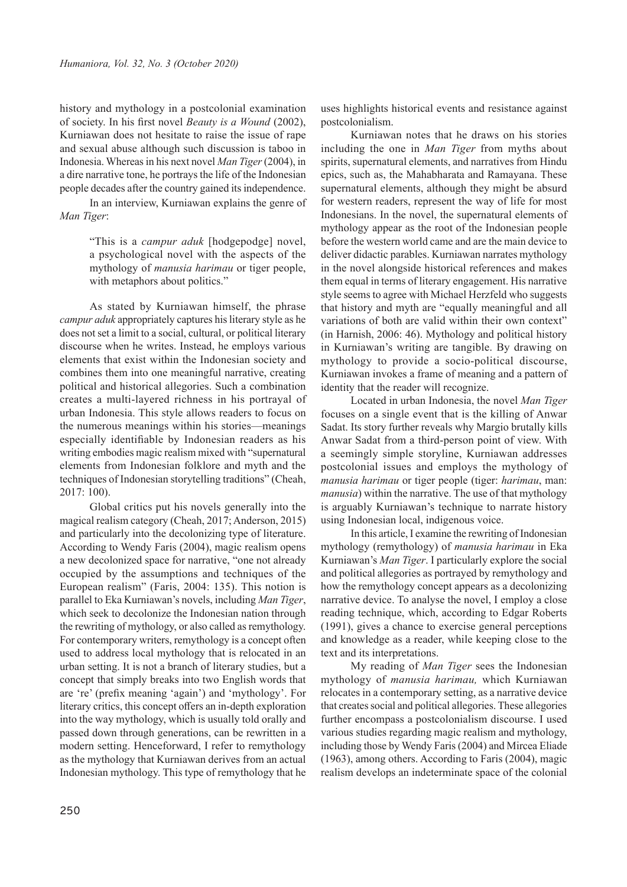history and mythology in a postcolonial examination of society. In his first novel *Beauty is a Wound* (2002), Kurniawan does not hesitate to raise the issue of rape and sexual abuse although such discussion is taboo in Indonesia. Whereas in his next novel *Man Tiger* (2004), in a dire narrative tone, he portrays the life of the Indonesian people decades after the country gained its independence.

In an interview, Kurniawan explains the genre of *Man Tiger*:

> "This is a *campur aduk* [hodgepodge] novel, a psychological novel with the aspects of the mythology of *manusia harimau* or tiger people, with metaphors about politics."

As stated by Kurniawan himself, the phrase *campur aduk* appropriately captures his literary style as he does not set a limit to a social, cultural, or political literary discourse when he writes. Instead, he employs various elements that exist within the Indonesian society and combines them into one meaningful narrative, creating political and historical allegories. Such a combination creates a multi-layered richness in his portrayal of urban Indonesia. This style allows readers to focus on the numerous meanings within his stories—meanings especially identifiable by Indonesian readers as his writing embodies magic realism mixed with "supernatural elements from Indonesian folklore and myth and the techniques of Indonesian storytelling traditions" (Cheah, 2017: 100).

Global critics put his novels generally into the magical realism category (Cheah, 2017; Anderson, 2015) and particularly into the decolonizing type of literature. According to Wendy Faris (2004), magic realism opens a new decolonized space for narrative, "one not already occupied by the assumptions and techniques of the European realism" (Faris, 2004: 135). This notion is parallel to Eka Kurniawan's novels, including *Man Tiger*, which seek to decolonize the Indonesian nation through the rewriting of mythology, or also called as remythology. For contemporary writers, remythology is a concept often used to address local mythology that is relocated in an urban setting. It is not a branch of literary studies, but a concept that simply breaks into two English words that are 're' (prefix meaning 'again') and 'mythology'. For literary critics, this concept offers an in-depth exploration into the way mythology, which is usually told orally and passed down through generations, can be rewritten in a modern setting. Henceforward, I refer to remythology as the mythology that Kurniawan derives from an actual Indonesian mythology. This type of remythology that he

uses highlights historical events and resistance against postcolonialism.

Kurniawan notes that he draws on his stories including the one in *Man Tiger* from myths about spirits, supernatural elements, and narratives from Hindu epics, such as, the Mahabharata and Ramayana. These supernatural elements, although they might be absurd for western readers, represent the way of life for most Indonesians. In the novel, the supernatural elements of mythology appear as the root of the Indonesian people before the western world came and are the main device to deliver didactic parables. Kurniawan narrates mythology in the novel alongside historical references and makes them equal in terms of literary engagement. His narrative style seems to agree with Michael Herzfeld who suggests that history and myth are "equally meaningful and all variations of both are valid within their own context" (in Harnish, 2006: 46). Mythology and political history in Kurniawan's writing are tangible. By drawing on mythology to provide a socio-political discourse, Kurniawan invokes a frame of meaning and a pattern of identity that the reader will recognize.

Located in urban Indonesia, the novel *Man Tiger* focuses on a single event that is the killing of Anwar Sadat. Its story further reveals why Margio brutally kills Anwar Sadat from a third-person point of view. With a seemingly simple storyline, Kurniawan addresses postcolonial issues and employs the mythology of *manusia harimau* or tiger people (tiger: *harimau*, man: *manusia*) within the narrative. The use of that mythology is arguably Kurniawan's technique to narrate history using Indonesian local, indigenous voice.

In this article, I examine the rewriting of Indonesian mythology (remythology) of *manusia harimau* in Eka Kurniawan's *Man Tiger*. I particularly explore the social and political allegories as portrayed by remythology and how the remythology concept appears as a decolonizing narrative device. To analyse the novel, I employ a close reading technique, which, according to Edgar Roberts (1991), gives a chance to exercise general perceptions and knowledge as a reader, while keeping close to the text and its interpretations.

My reading of *Man Tiger* sees the Indonesian mythology of *manusia harimau,* which Kurniawan relocates in a contemporary setting, as a narrative device that creates social and political allegories. These allegories further encompass a postcolonialism discourse. I used various studies regarding magic realism and mythology, including those by Wendy Faris (2004) and Mircea Eliade (1963), among others. According to Faris (2004), magic realism develops an indeterminate space of the colonial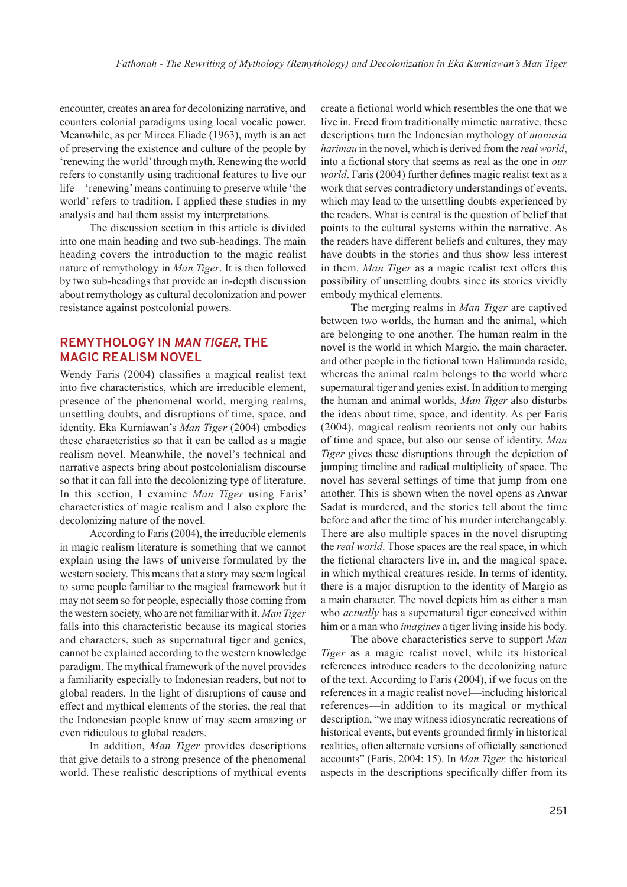encounter, creates an area for decolonizing narrative, and counters colonial paradigms using local vocalic power. Meanwhile, as per Mircea Eliade (1963), myth is an act of preserving the existence and culture of the people by 'renewing the world' through myth. Renewing the world refers to constantly using traditional features to live our life—'renewing' means continuing to preserve while 'the world' refers to tradition. I applied these studies in my analysis and had them assist my interpretations.

The discussion section in this article is divided into one main heading and two sub-headings. The main heading covers the introduction to the magic realist nature of remythology in *Man Tiger*. It is then followed by two sub-headings that provide an in-depth discussion about remythology as cultural decolonization and power resistance against postcolonial powers.

## **REMYTHOLOGY IN** *MAN TIGER***, THE MAGIC REALISM NOVEL**

Wendy Faris (2004) classifies a magical realist text into five characteristics, which are irreducible element, presence of the phenomenal world, merging realms, unsettling doubts, and disruptions of time, space, and identity. Eka Kurniawan's *Man Tiger* (2004) embodies these characteristics so that it can be called as a magic realism novel. Meanwhile, the novel's technical and narrative aspects bring about postcolonialism discourse so that it can fall into the decolonizing type of literature. In this section, I examine *Man Tiger* using Faris' characteristics of magic realism and I also explore the decolonizing nature of the novel.

According to Faris (2004), the irreducible elements in magic realism literature is something that we cannot explain using the laws of universe formulated by the western society. This means that a story may seem logical to some people familiar to the magical framework but it may not seem so for people, especially those coming from the western society, who are not familiar with it. *Man Tiger*  falls into this characteristic because its magical stories and characters, such as supernatural tiger and genies, cannot be explained according to the western knowledge paradigm. The mythical framework of the novel provides a familiarity especially to Indonesian readers, but not to global readers. In the light of disruptions of cause and effect and mythical elements of the stories, the real that the Indonesian people know of may seem amazing or even ridiculous to global readers.

In addition, *Man Tiger* provides descriptions that give details to a strong presence of the phenomenal world. These realistic descriptions of mythical events

create a fictional world which resembles the one that we live in. Freed from traditionally mimetic narrative, these descriptions turn the Indonesian mythology of *manusia harimau* in the novel, which is derived from the *real world*, into a fictional story that seems as real as the one in *our world*. Faris (2004) further defines magic realist text as a work that serves contradictory understandings of events, which may lead to the unsettling doubts experienced by the readers. What is central is the question of belief that points to the cultural systems within the narrative. As the readers have different beliefs and cultures, they may have doubts in the stories and thus show less interest in them. *Man Tiger* as a magic realist text offers this possibility of unsettling doubts since its stories vividly embody mythical elements.

The merging realms in *Man Tiger* are captived between two worlds, the human and the animal, which are belonging to one another. The human realm in the novel is the world in which Margio, the main character, and other people in the fictional town Halimunda reside, whereas the animal realm belongs to the world where supernatural tiger and genies exist. In addition to merging the human and animal worlds, *Man Tiger* also disturbs the ideas about time, space, and identity. As per Faris (2004), magical realism reorients not only our habits of time and space, but also our sense of identity. *Man Tiger* gives these disruptions through the depiction of jumping timeline and radical multiplicity of space. The novel has several settings of time that jump from one another. This is shown when the novel opens as Anwar Sadat is murdered, and the stories tell about the time before and after the time of his murder interchangeably. There are also multiple spaces in the novel disrupting the *real world*. Those spaces are the real space, in which the fictional characters live in, and the magical space, in which mythical creatures reside. In terms of identity, there is a major disruption to the identity of Margio as a main character. The novel depicts him as either a man who *actually* has a supernatural tiger conceived within him or a man who *imagines* a tiger living inside his body.

The above characteristics serve to support *Man Tiger* as a magic realist novel, while its historical references introduce readers to the decolonizing nature of the text. According to Faris (2004), if we focus on the references in a magic realist novel—including historical references—in addition to its magical or mythical description, "we may witness idiosyncratic recreations of historical events, but events grounded firmly in historical realities, often alternate versions of officially sanctioned accounts" (Faris, 2004: 15). In *Man Tiger,* the historical aspects in the descriptions specifically differ from its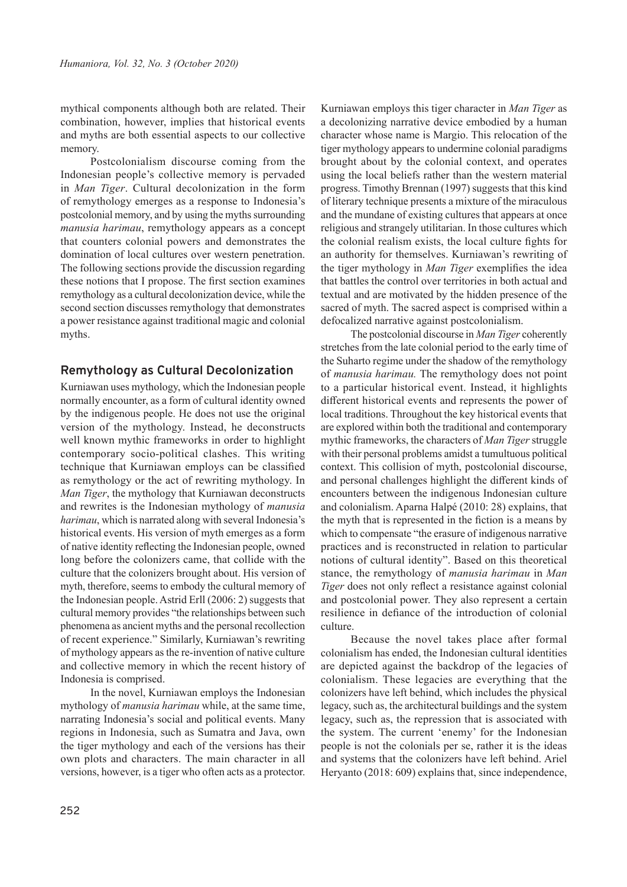mythical components although both are related. Their combination, however, implies that historical events and myths are both essential aspects to our collective memory.

Postcolonialism discourse coming from the Indonesian people's collective memory is pervaded in *Man Tiger*. Cultural decolonization in the form of remythology emerges as a response to Indonesia's postcolonial memory, and by using the myths surrounding *manusia harimau*, remythology appears as a concept that counters colonial powers and demonstrates the domination of local cultures over western penetration. The following sections provide the discussion regarding these notions that I propose. The first section examines remythology as a cultural decolonization device, while the second section discusses remythology that demonstrates a power resistance against traditional magic and colonial myths.

## **Remythology as Cultural Decolonization**

Kurniawan uses mythology, which the Indonesian people normally encounter, as a form of cultural identity owned by the indigenous people. He does not use the original version of the mythology. Instead, he deconstructs well known mythic frameworks in order to highlight contemporary socio-political clashes. This writing technique that Kurniawan employs can be classified as remythology or the act of rewriting mythology. In *Man Tiger*, the mythology that Kurniawan deconstructs and rewrites is the Indonesian mythology of *manusia harimau*, which is narrated along with several Indonesia's historical events. His version of myth emerges as a form of native identity reflecting the Indonesian people, owned long before the colonizers came, that collide with the culture that the colonizers brought about. His version of myth, therefore, seems to embody the cultural memory of the Indonesian people. Astrid Erll (2006: 2) suggests that cultural memory provides "the relationships between such phenomena as ancient myths and the personal recollection of recent experience." Similarly, Kurniawan's rewriting of mythology appears as the re-invention of native culture and collective memory in which the recent history of Indonesia is comprised.

In the novel, Kurniawan employs the Indonesian mythology of *manusia harimau* while, at the same time, narrating Indonesia's social and political events. Many regions in Indonesia, such as Sumatra and Java, own the tiger mythology and each of the versions has their own plots and characters. The main character in all versions, however, is a tiger who often acts as a protector.

Kurniawan employs this tiger character in *Man Tiger* as a decolonizing narrative device embodied by a human character whose name is Margio. This relocation of the tiger mythology appears to undermine colonial paradigms brought about by the colonial context, and operates using the local beliefs rather than the western material progress. Timothy Brennan (1997) suggests that this kind of literary technique presents a mixture of the miraculous and the mundane of existing cultures that appears at once religious and strangely utilitarian. In those cultures which the colonial realism exists, the local culture fights for an authority for themselves. Kurniawan's rewriting of the tiger mythology in *Man Tiger* exemplifies the idea that battles the control over territories in both actual and textual and are motivated by the hidden presence of the sacred of myth. The sacred aspect is comprised within a defocalized narrative against postcolonialism.

The postcolonial discourse in *Man Tiger* coherently stretches from the late colonial period to the early time of the Suharto regime under the shadow of the remythology of *manusia harimau.* The remythology does not point to a particular historical event. Instead, it highlights different historical events and represents the power of local traditions. Throughout the key historical events that are explored within both the traditional and contemporary mythic frameworks, the characters of *Man Tiger* struggle with their personal problems amidst a tumultuous political context. This collision of myth, postcolonial discourse, and personal challenges highlight the different kinds of encounters between the indigenous Indonesian culture and colonialism. Aparna Halpé (2010: 28) explains, that the myth that is represented in the fiction is a means by which to compensate "the erasure of indigenous narrative practices and is reconstructed in relation to particular notions of cultural identity". Based on this theoretical stance, the remythology of *manusia harimau* in *Man Tiger* does not only reflect a resistance against colonial and postcolonial power. They also represent a certain resilience in defiance of the introduction of colonial culture.

Because the novel takes place after formal colonialism has ended, the Indonesian cultural identities are depicted against the backdrop of the legacies of colonialism. These legacies are everything that the colonizers have left behind, which includes the physical legacy, such as, the architectural buildings and the system legacy, such as, the repression that is associated with the system. The current 'enemy' for the Indonesian people is not the colonials per se, rather it is the ideas and systems that the colonizers have left behind. Ariel Heryanto (2018: 609) explains that, since independence,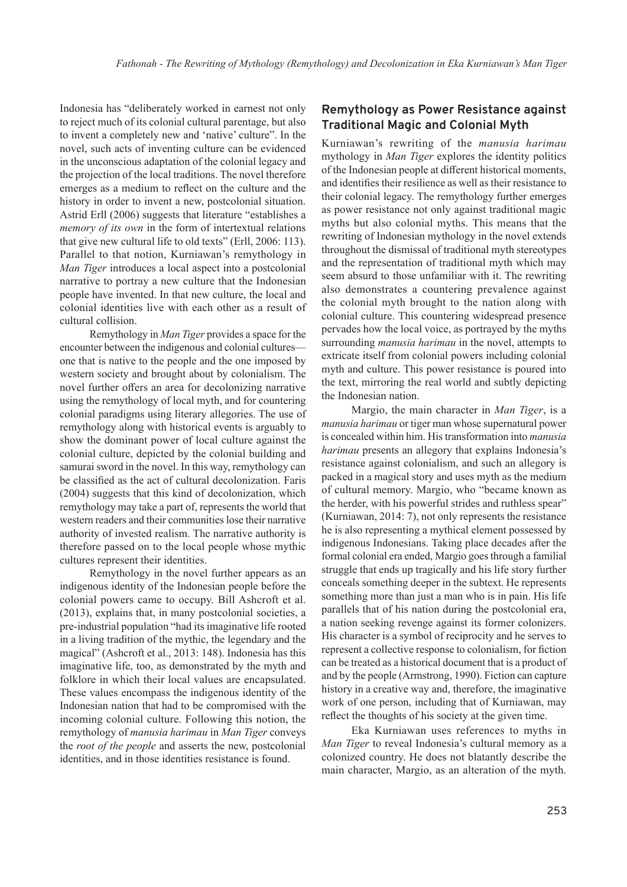Indonesia has "deliberately worked in earnest not only to reject much of its colonial cultural parentage, but also to invent a completely new and 'native' culture". In the novel, such acts of inventing culture can be evidenced in the unconscious adaptation of the colonial legacy and the projection of the local traditions. The novel therefore emerges as a medium to reflect on the culture and the history in order to invent a new, postcolonial situation. Astrid Erll (2006) suggests that literature "establishes a *memory of its own* in the form of intertextual relations that give new cultural life to old texts" (Erll, 2006: 113). Parallel to that notion, Kurniawan's remythology in *Man Tiger* introduces a local aspect into a postcolonial narrative to portray a new culture that the Indonesian people have invented. In that new culture, the local and colonial identities live with each other as a result of cultural collision.

Remythology in *Man Tiger* provides a space for the encounter between the indigenous and colonial cultures one that is native to the people and the one imposed by western society and brought about by colonialism. The novel further offers an area for decolonizing narrative using the remythology of local myth, and for countering colonial paradigms using literary allegories. The use of remythology along with historical events is arguably to show the dominant power of local culture against the colonial culture, depicted by the colonial building and samurai sword in the novel. In this way, remythology can be classified as the act of cultural decolonization. Faris (2004) suggests that this kind of decolonization, which remythology may take a part of, represents the world that western readers and their communities lose their narrative authority of invested realism. The narrative authority is therefore passed on to the local people whose mythic cultures represent their identities.

Remythology in the novel further appears as an indigenous identity of the Indonesian people before the colonial powers came to occupy. Bill Ashcroft et al. (2013), explains that, in many postcolonial societies, a pre-industrial population "had its imaginative life rooted in a living tradition of the mythic, the legendary and the magical" (Ashcroft et al., 2013: 148). Indonesia has this imaginative life, too, as demonstrated by the myth and folklore in which their local values are encapsulated. These values encompass the indigenous identity of the Indonesian nation that had to be compromised with the incoming colonial culture. Following this notion, the remythology of *manusia harimau* in *Man Tiger* conveys the *root of the people* and asserts the new, postcolonial identities, and in those identities resistance is found.

## **Remythology as Power Resistance against Traditional Magic and Colonial Myth**

Kurniawan's rewriting of the *manusia harimau*  mythology in *Man Tiger* explores the identity politics of the Indonesian people at different historical moments, and identifies their resilience as well as their resistance to their colonial legacy. The remythology further emerges as power resistance not only against traditional magic myths but also colonial myths. This means that the rewriting of Indonesian mythology in the novel extends throughout the dismissal of traditional myth stereotypes and the representation of traditional myth which may seem absurd to those unfamiliar with it. The rewriting also demonstrates a countering prevalence against the colonial myth brought to the nation along with colonial culture. This countering widespread presence pervades how the local voice, as portrayed by the myths surrounding *manusia harimau* in the novel, attempts to extricate itself from colonial powers including colonial myth and culture. This power resistance is poured into the text, mirroring the real world and subtly depicting the Indonesian nation.

Margio, the main character in *Man Tiger*, is a *manusia harimau* or tiger man whose supernatural power is concealed within him. His transformation into *manusia harimau* presents an allegory that explains Indonesia's resistance against colonialism, and such an allegory is packed in a magical story and uses myth as the medium of cultural memory. Margio, who "became known as the herder, with his powerful strides and ruthless spear" (Kurniawan, 2014: 7), not only represents the resistance he is also representing a mythical element possessed by indigenous Indonesians. Taking place decades after the formal colonial era ended, Margio goes through a familial struggle that ends up tragically and his life story further conceals something deeper in the subtext. He represents something more than just a man who is in pain. His life parallels that of his nation during the postcolonial era, a nation seeking revenge against its former colonizers. His character is a symbol of reciprocity and he serves to represent a collective response to colonialism, for fiction can be treated as a historical document that is a product of and by the people (Armstrong, 1990). Fiction can capture history in a creative way and, therefore, the imaginative work of one person, including that of Kurniawan, may reflect the thoughts of his society at the given time.

Eka Kurniawan uses references to myths in *Man Tiger* to reveal Indonesia's cultural memory as a colonized country. He does not blatantly describe the main character, Margio, as an alteration of the myth.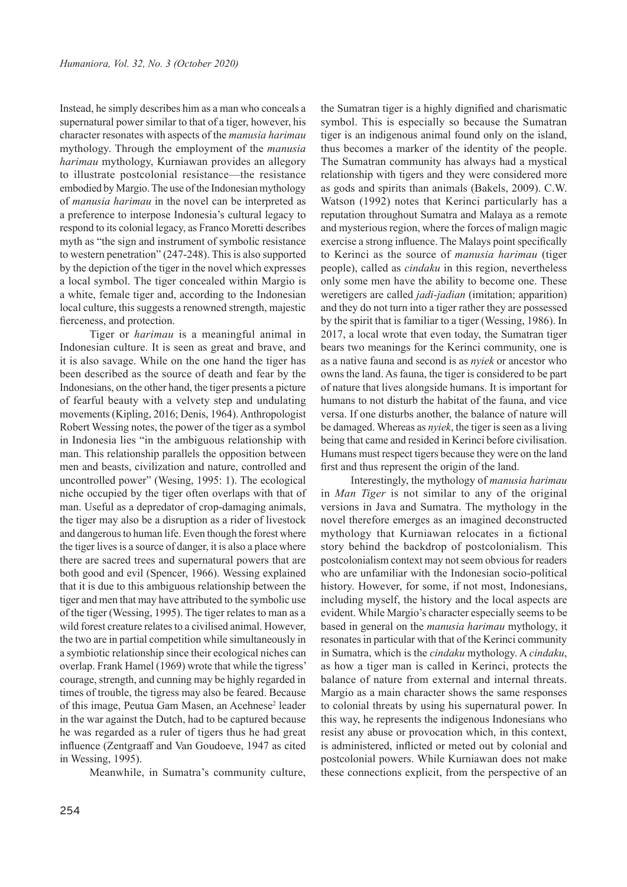Instead, he simply describes him as a man who conceals a supernatural power similar to that of a tiger, however, his character resonates with aspects of the *manusia harimau* mythology. Through the employment of the *manusia harimau* mythology, Kurniawan provides an allegory to illustrate postcolonial resistance—the resistance embodied by Margio. The use of the Indonesian mythology of *manusia harimau* in the novel can be interpreted as a preference to interpose Indonesia's cultural legacy to respond to its colonial legacy, as Franco Moretti describes myth as "the sign and instrument of symbolic resistance to western penetration" (247-248). This is also supported by the depiction of the tiger in the novel which expresses a local symbol. The tiger concealed within Margio is a white, female tiger and, according to the Indonesian local culture, this suggests a renowned strength, majestic fierceness, and protection.

Tiger or *harimau* is a meaningful animal in Indonesian culture. It is seen as great and brave, and it is also savage. While on the one hand the tiger has been described as the source of death and fear by the Indonesians, on the other hand, the tiger presents a picture of fearful beauty with a velvety step and undulating movements (Kipling, 2016; Denis, 1964). Anthropologist Robert Wessing notes, the power of the tiger as a symbol in Indonesia lies "in the ambiguous relationship with man. This relationship parallels the opposition between men and beasts, civilization and nature, controlled and uncontrolled power" (Wesing, 1995: 1). The ecological niche occupied by the tiger often overlaps with that of man. Useful as a depredator of crop-damaging animals, the tiger may also be a disruption as a rider of livestock and dangerous to human life. Even though the forest where the tiger lives is a source of danger, it is also a place where there are sacred trees and supernatural powers that are both good and evil (Spencer, 1966). Wessing explained that it is due to this ambiguous relationship between the tiger and men that may have attributed to the symbolic use of the tiger (Wessing, 1995). The tiger relates to man as a wild forest creature relates to a civilised animal. However, the two are in partial competition while simultaneously in a symbiotic relationship since their ecological niches can overlap. Frank Hamel (1969) wrote that while the tigress' courage, strength, and cunning may be highly regarded in times of trouble, the tigress may also be feared. Because of this image, Peutua Gam Masen, an Acehnese<sup>2</sup> leader in the war against the Dutch, had to be captured because he was regarded as a ruler of tigers thus he had great influence (Zentgraaff and Van Goudoeve, 1947 as cited in Wessing, 1995).

Meanwhile, in Sumatra's community culture,

the Sumatran tiger is a highly dignified and charismatic symbol. This is especially so because the Sumatran tiger is an indigenous animal found only on the island, thus becomes a marker of the identity of the people. The Sumatran community has always had a mystical relationship with tigers and they were considered more as gods and spirits than animals (Bakels, 2009). C.W. Watson (1992) notes that Kerinci particularly has a reputation throughout Sumatra and Malaya as a remote and mysterious region, where the forces of malign magic exercise a strong influence. The Malays point specifically to Kerinci as the source of *manusia harimau* (tiger people), called as *cindaku* in this region, nevertheless only some men have the ability to become one. These weretigers are called *jadi-jadian* (imitation; apparition) and they do not turn into a tiger rather they are possessed by the spirit that is familiar to a tiger (Wessing, 1986). In 2017, a local wrote that even today, the Sumatran tiger bears two meanings for the Kerinci community, one is as a native fauna and second is as *nyiek* or ancestor who owns the land. As fauna, the tiger is considered to be part of nature that lives alongside humans. It is important for humans to not disturb the habitat of the fauna, and vice versa. If one disturbs another, the balance of nature will be damaged. Whereas as *nyiek*, the tiger is seen as a living being that came and resided in Kerinci before civilisation. Humans must respect tigers because they were on the land first and thus represent the origin of the land.

Interestingly, the mythology of *manusia harimau* in *Man Tiger* is not similar to any of the original versions in Java and Sumatra. The mythology in the novel therefore emerges as an imagined deconstructed mythology that Kurniawan relocates in a fictional story behind the backdrop of postcolonialism. This postcolonialism context may not seem obvious for readers who are unfamiliar with the Indonesian socio-political history. However, for some, if not most, Indonesians, including myself, the history and the local aspects are evident. While Margio's character especially seems to be based in general on the *manusia harimau* mythology, it resonates in particular with that of the Kerinci community in Sumatra, which is the *cindaku* mythology. A *cindaku*, as how a tiger man is called in Kerinci, protects the balance of nature from external and internal threats. Margio as a main character shows the same responses to colonial threats by using his supernatural power. In this way, he represents the indigenous Indonesians who resist any abuse or provocation which, in this context, is administered, inflicted or meted out by colonial and postcolonial powers. While Kurniawan does not make these connections explicit, from the perspective of an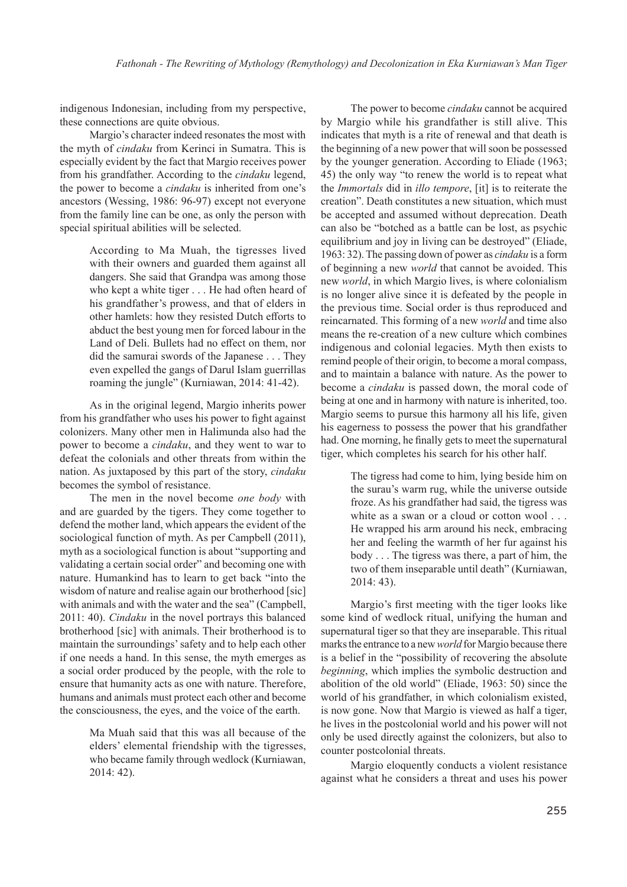indigenous Indonesian, including from my perspective, these connections are quite obvious.

Margio's character indeed resonates the most with the myth of *cindaku* from Kerinci in Sumatra. This is especially evident by the fact that Margio receives power from his grandfather. According to the *cindaku* legend, the power to become a *cindaku* is inherited from one's ancestors (Wessing, 1986: 96-97) except not everyone from the family line can be one, as only the person with special spiritual abilities will be selected.

> According to Ma Muah, the tigresses lived with their owners and guarded them against all dangers. She said that Grandpa was among those who kept a white tiger . . . He had often heard of his grandfather's prowess, and that of elders in other hamlets: how they resisted Dutch efforts to abduct the best young men for forced labour in the Land of Deli. Bullets had no effect on them, nor did the samurai swords of the Japanese . . . They even expelled the gangs of Darul Islam guerrillas roaming the jungle" (Kurniawan, 2014: 41-42).

As in the original legend, Margio inherits power from his grandfather who uses his power to fight against colonizers. Many other men in Halimunda also had the power to become a *cindaku*, and they went to war to defeat the colonials and other threats from within the nation. As juxtaposed by this part of the story, *cindaku* becomes the symbol of resistance.

The men in the novel become *one body* with and are guarded by the tigers. They come together to defend the mother land, which appears the evident of the sociological function of myth. As per Campbell (2011), myth as a sociological function is about "supporting and validating a certain social order" and becoming one with nature. Humankind has to learn to get back "into the wisdom of nature and realise again our brotherhood [sic] with animals and with the water and the sea" (Campbell, 2011: 40). *Cindaku* in the novel portrays this balanced brotherhood [sic] with animals. Their brotherhood is to maintain the surroundings' safety and to help each other if one needs a hand. In this sense, the myth emerges as a social order produced by the people, with the role to ensure that humanity acts as one with nature. Therefore, humans and animals must protect each other and become the consciousness, the eyes, and the voice of the earth.

> Ma Muah said that this was all because of the elders' elemental friendship with the tigresses, who became family through wedlock (Kurniawan, 2014: 42).

The power to become *cindaku* cannot be acquired by Margio while his grandfather is still alive. This indicates that myth is a rite of renewal and that death is the beginning of a new power that will soon be possessed by the younger generation. According to Eliade (1963; 45) the only way "to renew the world is to repeat what the *Immortals* did in *illo tempore*, [it] is to reiterate the creation". Death constitutes a new situation, which must be accepted and assumed without deprecation. Death can also be "botched as a battle can be lost, as psychic equilibrium and joy in living can be destroyed" (Eliade, 1963: 32). The passing down of power as *cindaku* is a form of beginning a new *world* that cannot be avoided. This new *world*, in which Margio lives, is where colonialism is no longer alive since it is defeated by the people in the previous time. Social order is thus reproduced and reincarnated. This forming of a new *world* and time also means the re-creation of a new culture which combines indigenous and colonial legacies. Myth then exists to remind people of their origin, to become a moral compass, and to maintain a balance with nature. As the power to become a *cindaku* is passed down, the moral code of being at one and in harmony with nature is inherited, too. Margio seems to pursue this harmony all his life, given his eagerness to possess the power that his grandfather had. One morning, he finally gets to meet the supernatural tiger, which completes his search for his other half.

> The tigress had come to him, lying beside him on the surau's warm rug, while the universe outside froze. As his grandfather had said, the tigress was white as a swan or a cloud or cotton wool . . . He wrapped his arm around his neck, embracing her and feeling the warmth of her fur against his body . . . The tigress was there, a part of him, the two of them inseparable until death" (Kurniawan, 2014: 43).

Margio's first meeting with the tiger looks like some kind of wedlock ritual, unifying the human and supernatural tiger so that they are inseparable. This ritual marks the entrance to a new *world* for Margio because there is a belief in the "possibility of recovering the absolute *beginning*, which implies the symbolic destruction and abolition of the old world" (Eliade, 1963: 50) since the world of his grandfather, in which colonialism existed, is now gone. Now that Margio is viewed as half a tiger, he lives in the postcolonial world and his power will not only be used directly against the colonizers, but also to counter postcolonial threats.

Margio eloquently conducts a violent resistance against what he considers a threat and uses his power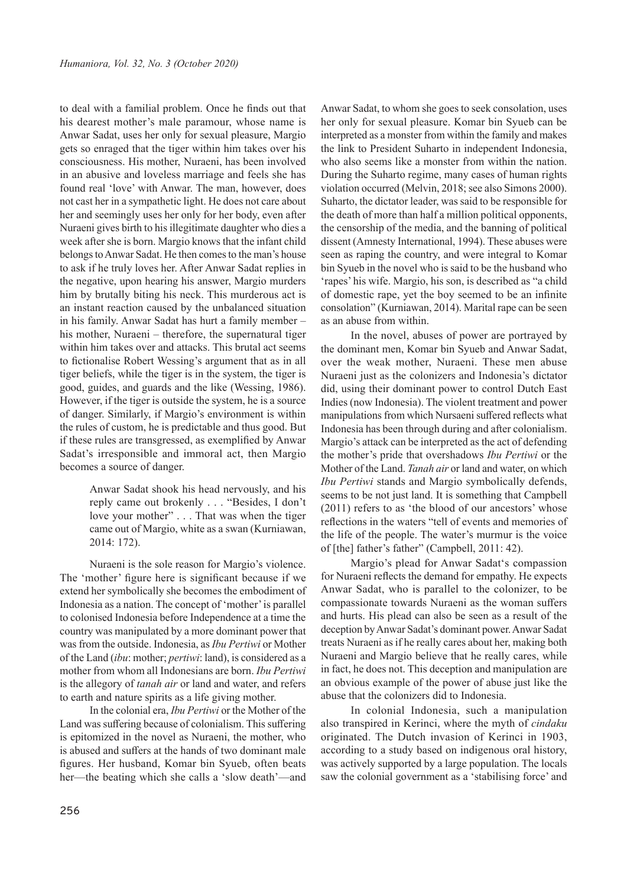to deal with a familial problem. Once he finds out that his dearest mother's male paramour, whose name is Anwar Sadat, uses her only for sexual pleasure, Margio gets so enraged that the tiger within him takes over his consciousness. His mother, Nuraeni, has been involved in an abusive and loveless marriage and feels she has found real 'love' with Anwar. The man, however, does not cast her in a sympathetic light. He does not care about her and seemingly uses her only for her body, even after Nuraeni gives birth to his illegitimate daughter who dies a week after she is born. Margio knows that the infant child belongs to Anwar Sadat. He then comes to the man's house to ask if he truly loves her. After Anwar Sadat replies in the negative, upon hearing his answer, Margio murders him by brutally biting his neck. This murderous act is an instant reaction caused by the unbalanced situation in his family. Anwar Sadat has hurt a family member – his mother, Nuraeni – therefore, the supernatural tiger within him takes over and attacks. This brutal act seems to fictionalise Robert Wessing's argument that as in all tiger beliefs, while the tiger is in the system, the tiger is good, guides, and guards and the like (Wessing, 1986). However, if the tiger is outside the system, he is a source of danger. Similarly, if Margio's environment is within the rules of custom, he is predictable and thus good. But if these rules are transgressed, as exemplified by Anwar Sadat's irresponsible and immoral act, then Margio becomes a source of danger.

> Anwar Sadat shook his head nervously, and his reply came out brokenly . . . "Besides, I don't love your mother" . . . That was when the tiger came out of Margio, white as a swan (Kurniawan, 2014: 172).

Nuraeni is the sole reason for Margio's violence. The 'mother' figure here is significant because if we extend her symbolically she becomes the embodiment of Indonesia as a nation. The concept of 'mother' is parallel to colonised Indonesia before Independence at a time the country was manipulated by a more dominant power that was from the outside. Indonesia, as *Ibu Pertiwi* or Mother of the Land (*ibu*: mother; *pertiwi*: land), is considered as a mother from whom all Indonesians are born. *Ibu Pertiwi* is the allegory of *tanah air* or land and water, and refers to earth and nature spirits as a life giving mother.

In the colonial era, *Ibu Pertiwi* or the Mother of the Land was suffering because of colonialism. This suffering is epitomized in the novel as Nuraeni, the mother, who is abused and suffers at the hands of two dominant male figures. Her husband, Komar bin Syueb, often beats her—the beating which she calls a 'slow death'—and

Anwar Sadat, to whom she goes to seek consolation, uses her only for sexual pleasure. Komar bin Syueb can be interpreted as a monster from within the family and makes the link to President Suharto in independent Indonesia, who also seems like a monster from within the nation. During the Suharto regime, many cases of human rights violation occurred (Melvin, 2018; see also Simons 2000). Suharto, the dictator leader, was said to be responsible for the death of more than half a million political opponents, the censorship of the media, and the banning of political dissent (Amnesty International, 1994). These abuses were seen as raping the country, and were integral to Komar bin Syueb in the novel who is said to be the husband who 'rapes' his wife. Margio, his son, is described as "a child of domestic rape, yet the boy seemed to be an infinite consolation" (Kurniawan, 2014). Marital rape can be seen as an abuse from within.

In the novel, abuses of power are portrayed by the dominant men, Komar bin Syueb and Anwar Sadat, over the weak mother, Nuraeni. These men abuse Nuraeni just as the colonizers and Indonesia's dictator did, using their dominant power to control Dutch East Indies (now Indonesia). The violent treatment and power manipulations from which Nursaeni suffered reflects what Indonesia has been through during and after colonialism. Margio's attack can be interpreted as the act of defending the mother's pride that overshadows *Ibu Pertiwi* or the Mother of the Land. *Tanah air* or land and water, on which *Ibu Pertiwi* stands and Margio symbolically defends, seems to be not just land. It is something that Campbell (2011) refers to as 'the blood of our ancestors' whose reflections in the waters "tell of events and memories of the life of the people. The water's murmur is the voice of [the] father's father" (Campbell, 2011: 42).

Margio's plead for Anwar Sadat's compassion for Nuraeni reflects the demand for empathy. He expects Anwar Sadat, who is parallel to the colonizer, to be compassionate towards Nuraeni as the woman suffers and hurts. His plead can also be seen as a result of the deception by Anwar Sadat's dominant power. Anwar Sadat treats Nuraeni as if he really cares about her, making both Nuraeni and Margio believe that he really cares, while in fact, he does not. This deception and manipulation are an obvious example of the power of abuse just like the abuse that the colonizers did to Indonesia.

In colonial Indonesia, such a manipulation also transpired in Kerinci, where the myth of *cindaku*  originated. The Dutch invasion of Kerinci in 1903, according to a study based on indigenous oral history, was actively supported by a large population. The locals saw the colonial government as a 'stabilising force' and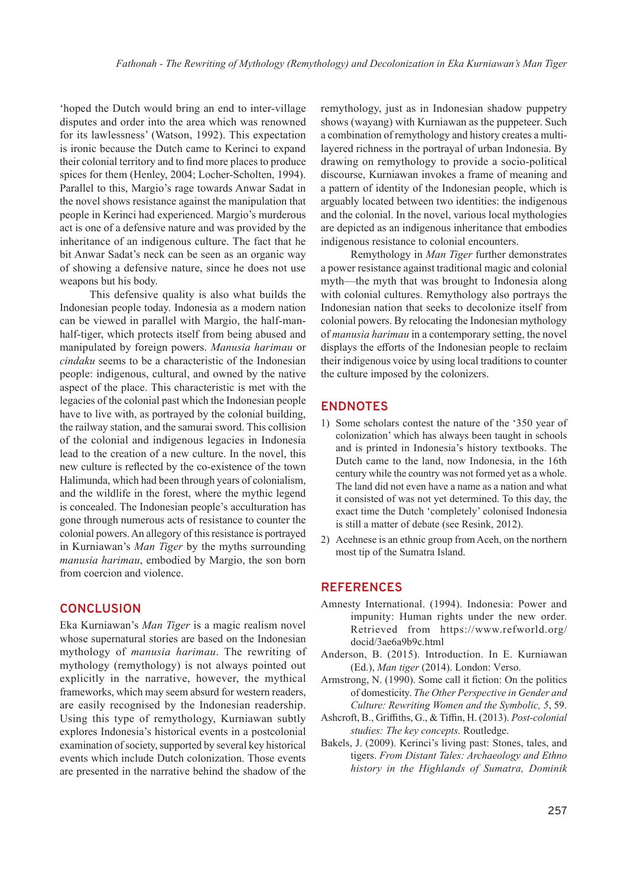'hoped the Dutch would bring an end to inter-village disputes and order into the area which was renowned for its lawlessness' (Watson, 1992). This expectation is ironic because the Dutch came to Kerinci to expand their colonial territory and to find more places to produce spices for them (Henley, 2004; Locher-Scholten, 1994). Parallel to this, Margio's rage towards Anwar Sadat in the novel shows resistance against the manipulation that people in Kerinci had experienced. Margio's murderous act is one of a defensive nature and was provided by the inheritance of an indigenous culture. The fact that he bit Anwar Sadat's neck can be seen as an organic way of showing a defensive nature, since he does not use weapons but his body.

This defensive quality is also what builds the Indonesian people today. Indonesia as a modern nation can be viewed in parallel with Margio, the half-manhalf-tiger, which protects itself from being abused and manipulated by foreign powers. *Manusia harimau* or *cindaku* seems to be a characteristic of the Indonesian people: indigenous, cultural, and owned by the native aspect of the place. This characteristic is met with the legacies of the colonial past which the Indonesian people have to live with, as portrayed by the colonial building, the railway station, and the samurai sword. This collision of the colonial and indigenous legacies in Indonesia lead to the creation of a new culture. In the novel, this new culture is reflected by the co-existence of the town Halimunda, which had been through years of colonialism, and the wildlife in the forest, where the mythic legend is concealed. The Indonesian people's acculturation has gone through numerous acts of resistance to counter the colonial powers. An allegory of this resistance is portrayed in Kurniawan's *Man Tiger* by the myths surrounding *manusia harimau*, embodied by Margio, the son born from coercion and violence.

## **CONCLUSION**

Eka Kurniawan's *Man Tiger* is a magic realism novel whose supernatural stories are based on the Indonesian mythology of *manusia harimau*. The rewriting of mythology (remythology) is not always pointed out explicitly in the narrative, however, the mythical frameworks, which may seem absurd for western readers, are easily recognised by the Indonesian readership. Using this type of remythology, Kurniawan subtly explores Indonesia's historical events in a postcolonial examination of society, supported by several key historical events which include Dutch colonization. Those events are presented in the narrative behind the shadow of the

remythology, just as in Indonesian shadow puppetry shows (wayang) with Kurniawan as the puppeteer. Such a combination of remythology and history creates a multilayered richness in the portrayal of urban Indonesia. By drawing on remythology to provide a socio-political discourse, Kurniawan invokes a frame of meaning and a pattern of identity of the Indonesian people, which is arguably located between two identities: the indigenous and the colonial. In the novel, various local mythologies are depicted as an indigenous inheritance that embodies indigenous resistance to colonial encounters.

Remythology in *Man Tiger* further demonstrates a power resistance against traditional magic and colonial myth—the myth that was brought to Indonesia along with colonial cultures. Remythology also portrays the Indonesian nation that seeks to decolonize itself from colonial powers. By relocating the Indonesian mythology of *manusia harimau* in a contemporary setting, the novel displays the efforts of the Indonesian people to reclaim their indigenous voice by using local traditions to counter the culture imposed by the colonizers.

## **ENDNOTES**

- 1) Some scholars contest the nature of the '350 year of colonization' which has always been taught in schools and is printed in Indonesia's history textbooks. The Dutch came to the land, now Indonesia, in the 16th century while the country was not formed yet as a whole. The land did not even have a name as a nation and what it consisted of was not yet determined. To this day, the exact time the Dutch 'completely' colonised Indonesia is still a matter of debate (see Resink, 2012).
- 2) Acehnese is an ethnic group from Aceh, on the northern most tip of the Sumatra Island.

## **REFERENCES**

- Amnesty International. (1994). Indonesia: Power and impunity: Human rights under the new order. Retrieved from https://www.refworld.org/ docid/3ae6a9b9c.html
- Anderson, B. (2015). Introduction. In E. Kurniawan (Ed.), *Man tiger* (2014). London: Verso.
- Armstrong, N. (1990). Some call it fiction: On the politics of domesticity. *The Other Perspective in Gender and Culture: Rewriting Women and the Symbolic, 5*, 59.
- Ashcroft, B., Griffiths, G., & Tiffin, H. (2013). *Post-colonial studies: The key concepts.* Routledge.
- Bakels, J. (2009). Kerinci's living past: Stones, tales, and tigers. *From Distant Tales: Archaeology and Ethno history in the Highlands of Sumatra, Dominik*